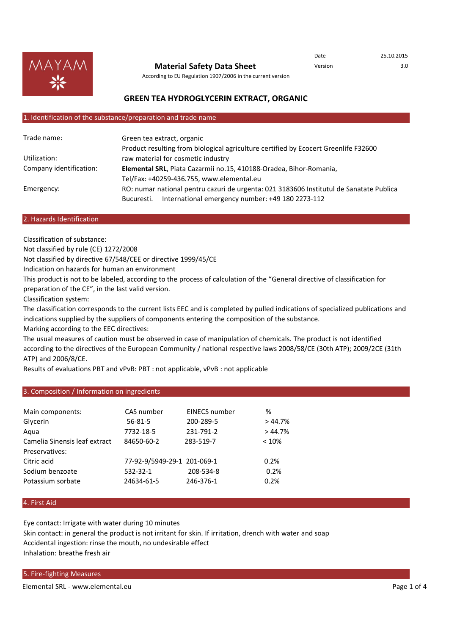

**Material Safety Data Sheet**

Date 25.10.2015 Version 3.0

According to EU Regulation 1907/2006 in the current version

# **GREEN TEA HYDROGLYCERIN EXTRACT, ORGANIC**

#### 1. Identification of the substance/preparation and trade name

| Trade name:             | Green tea extract, organic                                                              |  |
|-------------------------|-----------------------------------------------------------------------------------------|--|
|                         | Product resulting from biological agriculture certified by Ecocert Greenlife F32600     |  |
| Utilization:            | raw material for cosmetic industry                                                      |  |
| Company identification: | Elemental SRL, Piata Cazarmii no.15, 410188-Oradea, Bihor-Romania,                      |  |
|                         | Tel/Fax: +40259-436.755, www.elemental.eu                                               |  |
| Emergency:              | RO: numar national pentru cazuri de urgenta: 021 3183606 Institutul de Sanatate Publica |  |
|                         | International emergency number: +49 180 2273-112<br>Bucuresti.                          |  |

#### 2. Hazards Identification

Classification of substance:

Not classified by rule (CE) 1272/2008

Not classified by directive 67/548/CEE or directive 1999/45/CE

Indication on hazards for human an environment

This product is not to be labeled, according to the process of calculation of the "General directive of classification for preparation of the CE", in the last valid version.

Classification system:

The classification corresponds to the current lists EEC and is completed by pulled indications of specialized publications and indications supplied by the suppliers of components entering the composition of the substance.

Marking according to the EEC directives:

The usual measures of caution must be observed in case of manipulation of chemicals. The product is not identified according to the directives of the European Community / national respective laws 2008/58/CE (30th ATP); 2009/2CE (31th ATP) and 2006/8/CE.

Results of evaluations PBT and vPvB: PBT : not applicable, vPvB : not applicable

# 3. Composition / Information on ingredients

| Main components:              | CAS number                  | <b>EINECS number</b> | %      |
|-------------------------------|-----------------------------|----------------------|--------|
| Glycerin                      | $56 - 81 - 5$               | 200-289-5            | >44.7% |
| Aqua                          | 7732-18-5                   | 231-791-2            | >44.7% |
| Camelia Sinensis leaf extract | 84650-60-2                  | 283-519-7            | < 10%  |
| Preservatives:                |                             |                      |        |
| Citric acid                   | 77-92-9/5949-29-1 201-069-1 |                      | 0.2%   |
| Sodium benzoate               | 532-32-1                    | 208-534-8            | 0.2%   |
| Potassium sorbate             | 24634-61-5                  | 246-376-1            | 0.2%   |
|                               |                             |                      |        |

# 4. First Aid

Eye contact: Irrigate with water during 10 minutes Skin contact: in general the product is not irritant for skin. If irritation, drench with water and soap Accidental ingestion: rinse the mouth, no undesirable effect Inhalation: breathe fresh air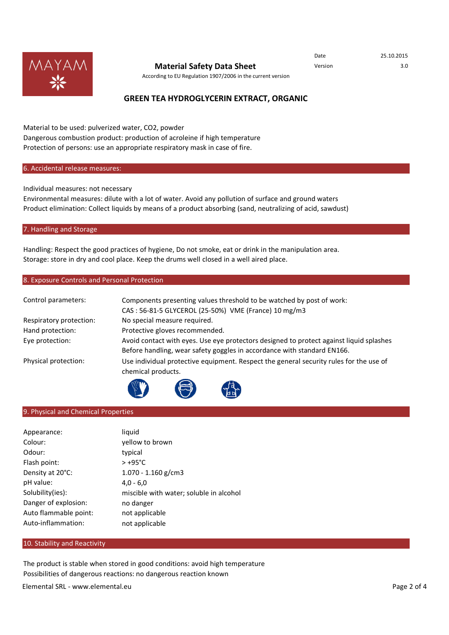

# **Material Safety Data Sheet** Version Version 3.0

According to EU Regulation 1907/2006 in the current version

# **GREEN TEA HYDROGLYCERIN EXTRACT, ORGANIC**

Material to be used: pulverized water, CO2, powder Dangerous combustion product: production of acroleine if high temperature Protection of persons: use an appropriate respiratory mask in case of fire.

# 6. Accidental release measures:

Individual measures: not necessary

Environmental measures: dilute with a lot of water. Avoid any pollution of surface and ground waters Product elimination: Collect liquids by means of a product absorbing (sand, neutralizing of acid, sawdust)

#### 7. Handling and Storage

Handling: Respect the good practices of hygiene, Do not smoke, eat or drink in the manipulation area. Storage: store in dry and cool place. Keep the drums well closed in a well aired place.

# 8. Exposure Controls and Personal Protection

| Control parameters:     | Components presenting values threshold to be watched by post of work:<br>CAS: 56-81-5 GLYCEROL (25-50%) VME (France) 10 mg/m3                                      |
|-------------------------|--------------------------------------------------------------------------------------------------------------------------------------------------------------------|
| Respiratory protection: | No special measure required.                                                                                                                                       |
| Hand protection:        | Protective gloves recommended.                                                                                                                                     |
| Eye protection:         | Avoid contact with eyes. Use eye protectors designed to protect against liquid splashes<br>Before handling, wear safety goggles in accordance with standard EN166. |
| Physical protection:    | Use individual protective equipment. Respect the general security rules for the use of<br>chemical products.                                                       |
|                         |                                                                                                                                                                    |

# 9. Physical and Chemical Properties

| Appearance:           | liquid                                  |
|-----------------------|-----------------------------------------|
| Colour:               | yellow to brown                         |
| Odour:                | typical                                 |
| Flash point:          | $> +95^{\circ}$ C                       |
| Density at 20°C:      | $1.070 - 1.160$ g/cm3                   |
| pH value:             | $4.0 - 6.0$                             |
| Solubility(ies):      | miscible with water; soluble in alcohol |
| Danger of explosion:  | no danger                               |
| Auto flammable point: | not applicable                          |
| Auto-inflammation:    | not applicable                          |

### 10. Stability and Reactivity

The product is stable when stored in good conditions: avoid high temperature Possibilities of dangerous reactions: no dangerous reaction known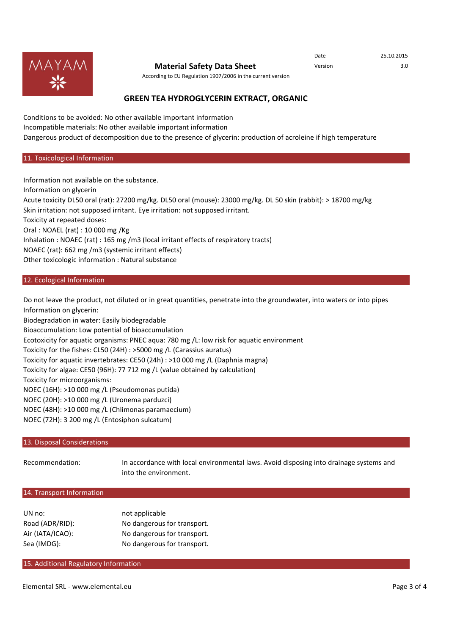

# **Material Safety Data Sheet** Version Version 3.0

Date 25.10.2015

According to EU Regulation 1907/2006 in the current version

# **GREEN TEA HYDROGLYCERIN EXTRACT, ORGANIC**

Conditions to be avoided: No other available important information Incompatible materials: No other available important information Dangerous product of decomposition due to the presence of glycerin: production of acroleine if high temperature

#### 11. Toxicological Information

Information not available on the substance. Information on glycerin Acute toxicity DL50 oral (rat): 27200 mg/kg. DL50 oral (mouse): 23000 mg/kg. DL 50 skin (rabbit): > 18700 mg/kg Skin irritation: not supposed irritant. Eye irritation: not supposed irritant. Toxicity at repeated doses: Oral : NOAEL (rat) : 10 000 mg /Kg Inhalation : NOAEC (rat) : 165 mg /m3 (local irritant effects of respiratory tracts) NOAEC (rat): 662 mg /m3 (systemic irritant effects) Other toxicologic information : Natural substance

# 12. Ecological Information

Do not leave the product, not diluted or in great quantities, penetrate into the groundwater, into waters or into pipes Information on glycerin:

Biodegradation in water: Easily biodegradable

Bioaccumulation: Low potential of bioaccumulation

Ecotoxicity for aquatic organisms: PNEC aqua: 780 mg /L: low risk for aquatic environment

Toxicity for the fishes: CL50 (24H) : >5000 mg /L (Carassius auratus)

Toxicity for aquatic invertebrates: CE50 (24h) : >10 000 mg /L (Daphnia magna)

Toxicity for algae: CE50 (96H): 77 712 mg /L (value obtained by calculation)

Toxicity for microorganisms:

NOEC (16H): >10 000 mg /L (Pseudomonas putida)

NOEC (20H): >10 000 mg /L (Uronema parduzci)

NOEC (48H): >10 000 mg /L (Chlimonas paramaecium)

NOEC (72H): 3 200 mg /L (Entosiphon sulcatum)

# 13. Disposal Considerations

Recommendation: In accordance with local environmental laws. Avoid disposing into drainage systems and into the environment.

#### 14. Transport Information

| UN no:           | not applicable              |
|------------------|-----------------------------|
| Road (ADR/RID):  | No dangerous for transport. |
| Air (IATA/ICAO): | No dangerous for transport. |
| Sea (IMDG):      | No dangerous for transport. |

### 15. Additional Regulatory Information